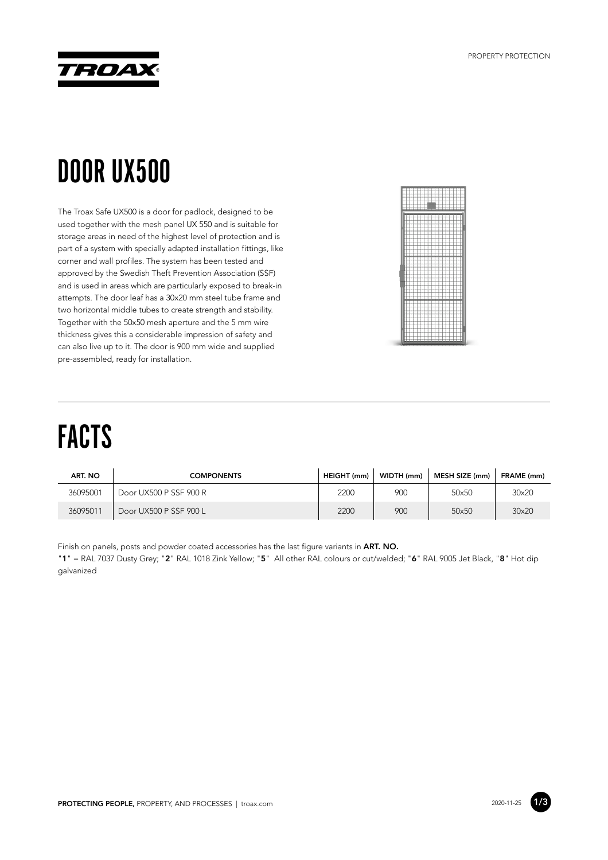

## DOOR UX500

The Troax Safe UX500 is a door for padlock, designed to be used together with the mesh panel UX 550 and is suitable for storage areas in need of the highest level of protection and is part of a system with specially adapted installation fittings, like corner and wall profiles. The system has been tested and approved by the Swedish Theft Prevention Association (SSF) and is used in areas which are particularly exposed to break-in attempts. The door leaf has a 30x20 mm steel tube frame and two horizontal middle tubes to create strength and stability. Together with the 50x50 mesh aperture and the 5 mm wire thickness gives this a considerable impression of safety and can also live up to it. The door is 900 mm wide and supplied pre-assembled, ready for installation.



## FACTS

| ART. NO  | <b>COMPONENTS</b>      | HEIGHT (mm) | WIDTH (mm) | MESH SIZE (mm) | FRAME (mm) |
|----------|------------------------|-------------|------------|----------------|------------|
| 36095001 | Door UX500 P SSF 900 R | 2200        | 900        | 50×50          | 30×20      |
| 36095011 | Door UX500 P SSF 900 L | 2200        | 900        | 50×50          | 30×20      |

Finish on panels, posts and powder coated accessories has the last figure variants in **ART. NO.**

"**1**" = RAL 7037 Dusty Grey; "**2**" RAL 1018 Zink Yellow; "**5**" All other RAL colours or cut/welded; "**6**" RAL 9005 Jet Black, "**8**" Hot dip galvanized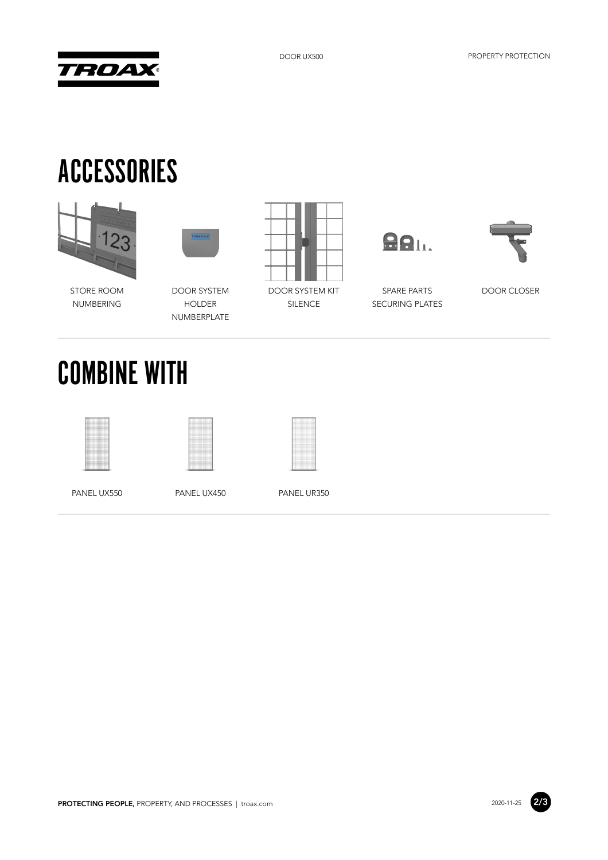



## ACCESSORIES





STORE ROOM NUMBERING

DOOR SYSTEM HOLDER NUMBERPLATE



DOOR SYSTEM KIT SILENCE

**881.** 

SPARE PARTS SECURING PLATES



DOOR CLOSER

COMBINE WITH





PANEL UX550 PANEL UX450 PANEL UR350